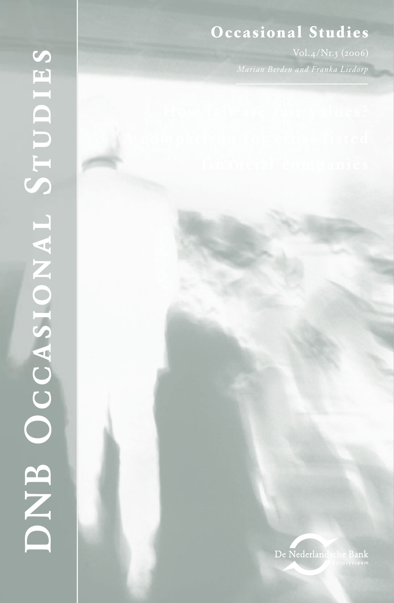# $Occasional$  Studies

*Marian Berden and Franka Liedorp*

De Nederlandsche Bank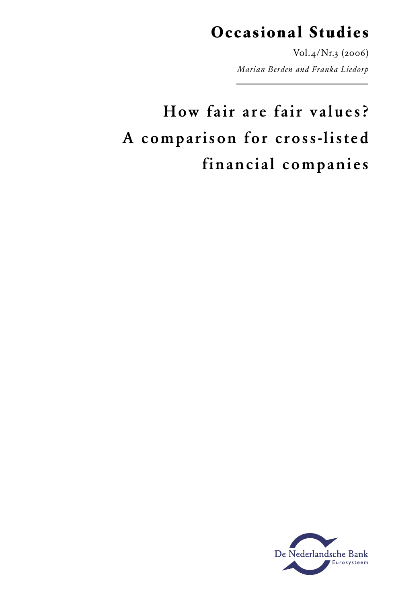# **Occasional Studies**

Vol.4/Nr.3 (2006) *Marian Berden and Franka Liedorp*

# How fair are fair values? A comparison for cross-listed financial companies

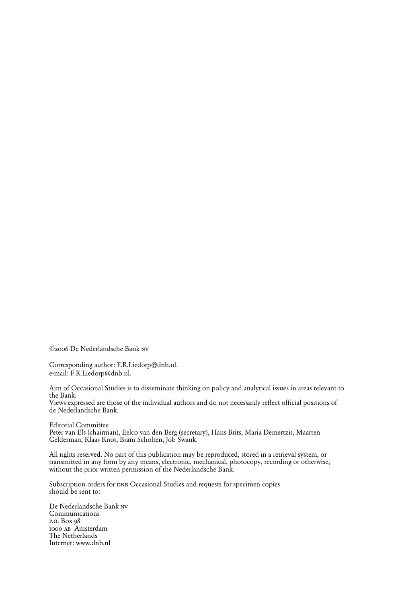©2006 De Nederlandsche Bank nv

Corresponding author: F.R.Liedorp@dnb.nl. e-mail: F.R.Liedorp@dnb.nl.

Aim of Occasional Studies is to disseminate thinking on policy and analytical issues in areas relevant to the Bank.

Views expressed are those of the individual authors and do not necessarily reflect official positions of de Nederlandsche Bank.

Editorial Committee

Peter van Els (chairman), Eelco van den Berg (secretary), Hans Brits, Maria Demertzis, Maarten Gelderman, Klaas Knot, Bram Scholten, Job Swank.

All rights reserved. No part of this publication may be reproduced, stored in a retrieval system, or transmitted in any form by any means, electronic, mechanical, photocopy, recording or otherwise, without the prior written permission of the Nederlandsche Bank.

Subscription orders for DNB Occasional Studies and requests for specimen copies should be sent to:

De Nederlandsche Bank nv Communications p.o. Box 98 1000 ab Amsterdam The Netherlands Internet: www.dnb.nl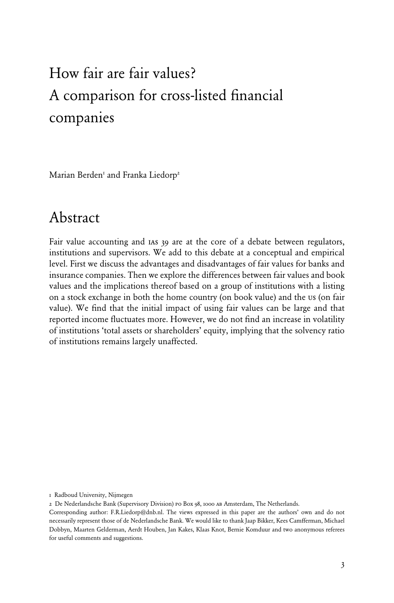# How fair are fair values? A comparison for cross-listed financial companies

Marian Berden<sup>1</sup> and Franka Liedorp<sup>2</sup>

# Abstract

Fair value accounting and ias 39 are at the core of a debate between regulators, institutions and supervisors. We add to this debate at a conceptual and empirical level. First we discuss the advantages and disadvantages of fair values for banks and insurance companies. Then we explore the differences between fair values and book values and the implications thereof based on a group of institutions with a listing on a stock exchange in both the home country (on book value) and the us (on fair value). We find that the initial impact of using fair values can be large and that reported income fluctuates more. However, we do not find an increase in volatility of institutions 'total assets or shareholders' equity, implying that the solvency ratio of institutions remains largely unaffected.

<sup>1</sup> Radboud University, Nijmegen

<sup>2</sup> De Nederlandsche Bank (Supervisory Division) po Box 98, 1000 ab Amsterdam, The Netherlands.

Corresponding author: F.R.Liedorp@dnb.nl. The views expressed in this paper are the authors' own and do not necessarily represent those of de Nederlandsche Bank. We would like to thank Jaap Bikker, Kees Camfferman, Michael Dobbyn, Maarten Gelderman, Aerdt Houben, Jan Kakes, Klaas Knot, Bernie Komduur and two anonymous referees for useful comments and suggestions.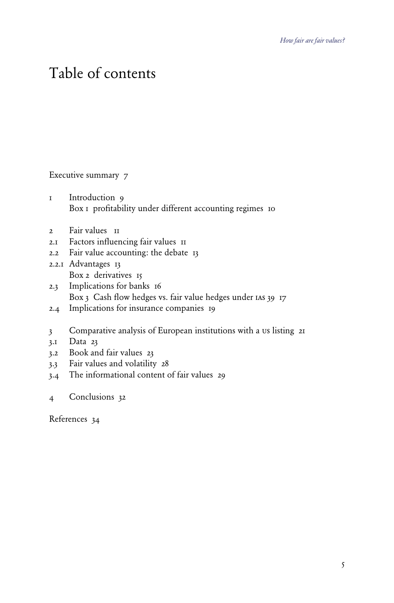# Table of contents

## Executive summary 7

- 1 Introduction 9 Box 1 profitability under different accounting regimes 10
- 2 Fair values II
- 2.1 Factors influencing fair values 11
- 2.2 Fair value accounting: the debate 13
- 2.2.1 Advantages 13 Box 2 derivatives 15
- 2.3 Implications for banks 16 Box 3 Cash flow hedges vs. fair value hedges under IAS 39 17
- 2.4 Implications for insurance companies 19
- 3 Comparative analysis of European institutions with a us listing 21
- 3.1 Data 23
- 3.2 Book and fair values 23
- 3.3 Fair values and volatility 28
- 3.4 The informational content of fair values 29
- 4 Conclusions 32

References 34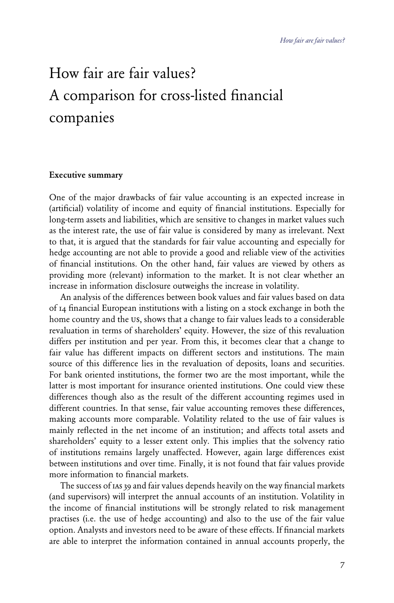# How fair are fair values? A comparison for cross-listed financial companies

### Executive summary

One of the major drawbacks of fair value accounting is an expected increase in (artificial) volatility of income and equity of financial institutions. Especially for long-term assets and liabilities, which are sensitive to changes in market values such as the interest rate, the use of fair value is considered by many as irrelevant. Next to that, it is argued that the standards for fair value accounting and especially for hedge accounting are not able to provide a good and reliable view of the activities of financial institutions. On the other hand, fair values are viewed by others as providing more (relevant) information to the market. It is not clear whether an increase in information disclosure outweighs the increase in volatility.

 An analysis of the differences between book values and fair values based on data of 14 financial European institutions with a listing on a stock exchange in both the home country and the us, shows that a change to fair values leads to a considerable revaluation in terms of shareholders' equity. However, the size of this revaluation differs per institution and per year. From this, it becomes clear that a change to fair value has different impacts on different sectors and institutions. The main source of this difference lies in the revaluation of deposits, loans and securities. For bank oriented institutions, the former two are the most important, while the latter is most important for insurance oriented institutions. One could view these differences though also as the result of the different accounting regimes used in different countries. In that sense, fair value accounting removes these differences, making accounts more comparable. Volatility related to the use of fair values is mainly reflected in the net income of an institution; and affects total assets and shareholders' equity to a lesser extent only. This implies that the solvency ratio of institutions remains largely unaffected. However, again large differences exist between institutions and over time. Finally, it is not found that fair values provide more information to financial markets.

 The success of ias 39 and fair values depends heavily on the way financial markets (and supervisors) will interpret the annual accounts of an institution. Volatility in the income of financial institutions will be strongly related to risk management practises (i.e. the use of hedge accounting) and also to the use of the fair value option. Analysts and investors need to be aware of these effects. If financial markets are able to interpret the information contained in annual accounts properly, the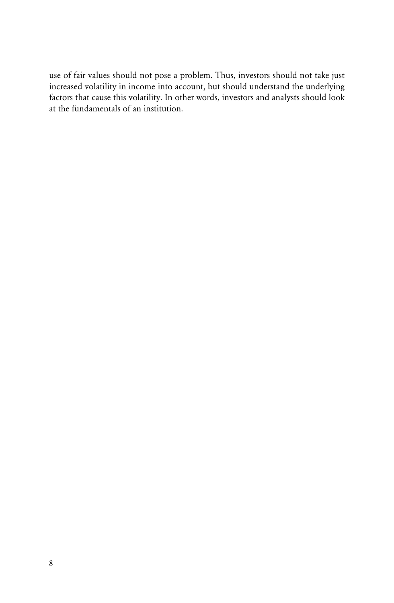use of fair values should not pose a problem. Thus, investors should not take just increased volatility in income into account, but should understand the underlying factors that cause this volatility. In other words, investors and analysts should look at the fundamentals of an institution.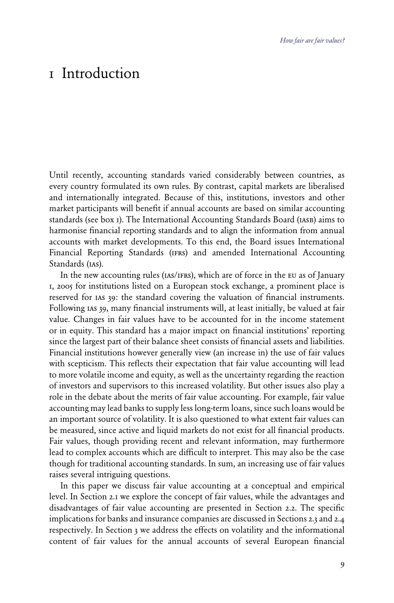# 1 Introduction

Until recently, accounting standards varied considerably between countries, as every country formulated its own rules. By contrast, capital markets are liberalised and internationally integrated. Because of this, institutions, investors and other market participants will benefit if annual accounts are based on similar accounting standards (see box 1). The International Accounting Standards Board (iasb) aims to harmonise financial reporting standards and to align the information from annual accounts with market developments. To this end, the Board issues International Financial Reporting Standards (ifrs) and amended International Accounting Standards (ias).

In the new accounting rules (IAS/IFRS), which are of force in the EU as of January 1, 2005 for institutions listed on a European stock exchange, a prominent place is reserved for ias 39: the standard covering the valuation of financial instruments. Following ias 39, many financial instruments will, at least initially, be valued at fair value. Changes in fair values have to be accounted for in the income statement or in equity. This standard has a major impact on financial institutions' reporting since the largest part of their balance sheet consists of financial assets and liabilities. Financial institutions however generally view (an increase in) the use of fair values with scepticism. This reflects their expectation that fair value accounting will lead to more volatile income and equity, as well as the uncertainty regarding the reaction of investors and supervisors to this increased volatility. But other issues also play a role in the debate about the merits of fair value accounting. For example, fair value accounting may lead banks to supply less long-term loans, since such loans would be an important source of volatility. It is also questioned to what extent fair values can be measured, since active and liquid markets do not exist for all financial products. Fair values, though providing recent and relevant information, may furthermore lead to complex accounts which are difficult to interpret. This may also be the case though for traditional accounting standards. In sum, an increasing use of fair values raises several intriguing questions.

 In this paper we discuss fair value accounting at a conceptual and empirical level. In Section 2.1 we explore the concept of fair values, while the advantages and disadvantages of fair value accounting are presented in Section 2.2. The specific implications for banks and insurance companies are discussed in Sections 2.3 and 2.4 respectively. In Section 3 we address the effects on volatility and the informational content of fair values for the annual accounts of several European financial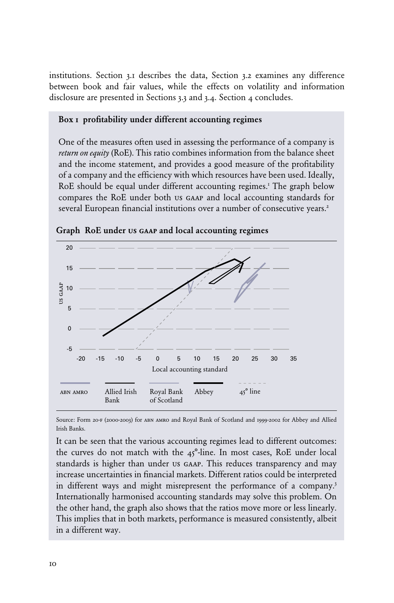institutions. Section 3.1 describes the data, Section 3.2 examines any difference between book and fair values, while the effects on volatility and information disclosure are presented in Sections 3.3 and 3.4. Section 4 concludes.

### Box 1 profitability under different accounting regimes

One of the measures often used in assessing the performance of a company is *return on equity* (RoE). This ratio combines information from the balance sheet and the income statement, and provides a good measure of the profitability of a company and the efficiency with which resources have been used. Ideally, RoE should be equal under different accounting regimes.<sup>1</sup> The graph below compares the RoE under both us gaap and local accounting standards for several European financial institutions over a number of consecutive years.<sup>2</sup>



Graph RoE under us gaap and local accounting regimes

Source: Form 20-f (2000-2003) for abn amro and Royal Bank of Scotland and 1999-2002 for Abbey and Allied Irish Banks.

It can be seen that the various accounting regimes lead to different outcomes: the curves do not match with the  $45^{\circ}$ -line. In most cases, RoE under local standards is higher than under us gaap. This reduces transparency and may increase uncertainties in financial markets. Different ratios could be interpreted in different ways and might misrepresent the performance of a company.<sup>3</sup> Internationally harmonised accounting standards may solve this problem. On the other hand, the graph also shows that the ratios move more or less linearly. This implies that in both markets, performance is measured consistently, albeit in a different way.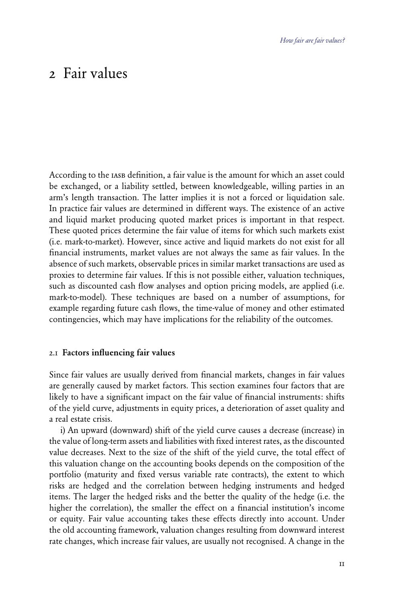# 2 Fair values

According to the IASB definition, a fair value is the amount for which an asset could be exchanged, or a liability settled, between knowledgeable, willing parties in an arm's length transaction. The latter implies it is not a forced or liquidation sale. In practice fair values are determined in different ways. The existence of an active and liquid market producing quoted market prices is important in that respect. These quoted prices determine the fair value of items for which such markets exist (i.e. mark-to-market). However, since active and liquid markets do not exist for all financial instruments, market values are not always the same as fair values. In the absence of such markets, observable prices in similar market transactions are used as proxies to determine fair values. If this is not possible either, valuation techniques, such as discounted cash flow analyses and option pricing models, are applied (i.e. mark-to-model). These techniques are based on a number of assumptions, for example regarding future cash flows, the time-value of money and other estimated contingencies, which may have implications for the reliability of the outcomes.

### 2.1 Factors influencing fair values

Since fair values are usually derived from financial markets, changes in fair values are generally caused by market factors. This section examines four factors that are likely to have a significant impact on the fair value of financial instruments: shifts of the yield curve, adjustments in equity prices, a deterioration of asset quality and a real estate crisis.

 i) An upward (downward) shift of the yield curve causes a decrease (increase) in the value of long-term assets and liabilities with fixed interest rates, as the discounted value decreases. Next to the size of the shift of the yield curve, the total effect of this valuation change on the accounting books depends on the composition of the portfolio (maturity and fixed versus variable rate contracts), the extent to which risks are hedged and the correlation between hedging instruments and hedged items. The larger the hedged risks and the better the quality of the hedge (i.e. the higher the correlation), the smaller the effect on a financial institution's income or equity. Fair value accounting takes these effects directly into account. Under the old accounting framework, valuation changes resulting from downward interest rate changes, which increase fair values, are usually not recognised. A change in the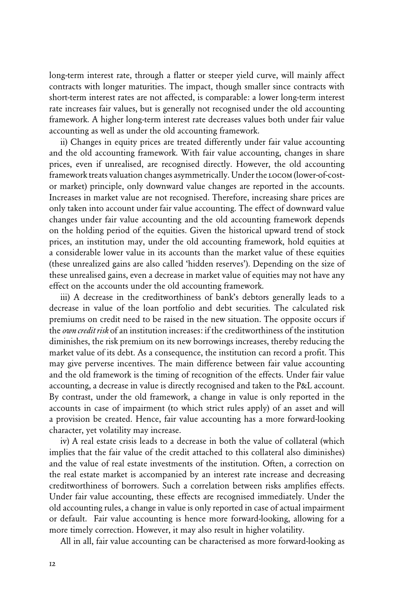long-term interest rate, through a flatter or steeper yield curve, will mainly affect contracts with longer maturities. The impact, though smaller since contracts with short-term interest rates are not affected, is comparable: a lower long-term interest rate increases fair values, but is generally not recognised under the old accounting framework. A higher long-term interest rate decreases values both under fair value accounting as well as under the old accounting framework.

 ii) Changes in equity prices are treated differently under fair value accounting and the old accounting framework. With fair value accounting, changes in share prices, even if unrealised, are recognised directly. However, the old accounting framework treats valuation changes asymmetrically. Under the locom (lower-of-costor market) principle, only downward value changes are reported in the accounts. Increases in market value are not recognised. Therefore, increasing share prices are only taken into account under fair value accounting. The effect of downward value changes under fair value accounting and the old accounting framework depends on the holding period of the equities. Given the historical upward trend of stock prices, an institution may, under the old accounting framework, hold equities at a considerable lower value in its accounts than the market value of these equities (these unrealized gains are also called 'hidden reserves'). Depending on the size of these unrealised gains, even a decrease in market value of equities may not have any effect on the accounts under the old accounting framework.

 iii) A decrease in the creditworthiness of bank's debtors generally leads to a decrease in value of the loan portfolio and debt securities. The calculated risk premiums on credit need to be raised in the new situation. The opposite occurs if the *own credit risk* of an institution increases: if the creditworthiness of the institution diminishes, the risk premium on its new borrowings increases, thereby reducing the market value of its debt. As a consequence, the institution can record a profit. This may give perverse incentives. The main difference between fair value accounting and the old framework is the timing of recognition of the effects. Under fair value accounting, a decrease in value is directly recognised and taken to the P&L account. By contrast, under the old framework, a change in value is only reported in the accounts in case of impairment (to which strict rules apply) of an asset and will a provision be created. Hence, fair value accounting has a more forward-looking character, yet volatility may increase.

 iv) A real estate crisis leads to a decrease in both the value of collateral (which implies that the fair value of the credit attached to this collateral also diminishes) and the value of real estate investments of the institution. Often, a correction on the real estate market is accompanied by an interest rate increase and decreasing creditworthiness of borrowers. Such a correlation between risks amplifies effects. Under fair value accounting, these effects are recognised immediately. Under the old accounting rules, a change in value is only reported in case of actual impairment or default. Fair value accounting is hence more forward-looking, allowing for a more timely correction. However, it may also result in higher volatility.

All in all, fair value accounting can be characterised as more forward-looking as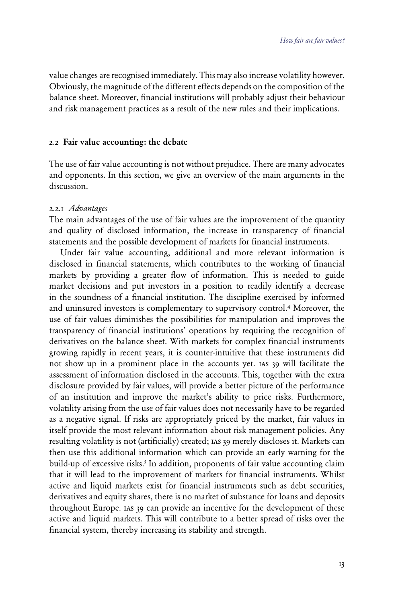value changes are recognised immediately. This may also increase volatility however. Obviously, the magnitude of the different effects depends on the composition of the balance sheet. Moreover, financial institutions will probably adjust their behaviour and risk management practices as a result of the new rules and their implications.

#### 2.2 Fair value accounting: the debate

The use of fair value accounting is not without prejudice. There are many advocates and opponents. In this section, we give an overview of the main arguments in the discussion.

### 2.2.1 *Advantages*

The main advantages of the use of fair values are the improvement of the quantity and quality of disclosed information, the increase in transparency of financial statements and the possible development of markets for financial instruments.

 Under fair value accounting, additional and more relevant information is disclosed in financial statements, which contributes to the working of financial markets by providing a greater flow of information. This is needed to guide market decisions and put investors in a position to readily identify a decrease in the soundness of a financial institution. The discipline exercised by informed and uninsured investors is complementary to supervisory control.<sup>4</sup> Moreover, the use of fair values diminishes the possibilities for manipulation and improves the transparency of financial institutions' operations by requiring the recognition of derivatives on the balance sheet. With markets for complex financial instruments growing rapidly in recent years, it is counter-intuitive that these instruments did not show up in a prominent place in the accounts yet. ias 39 will facilitate the assessment of information disclosed in the accounts. This, together with the extra disclosure provided by fair values, will provide a better picture of the performance of an institution and improve the market's ability to price risks. Furthermore, volatility arising from the use of fair values does not necessarily have to be regarded as a negative signal. If risks are appropriately priced by the market, fair values in itself provide the most relevant information about risk management policies. Any resulting volatility is not (artificially) created; ias 39 merely discloses it. Markets can then use this additional information which can provide an early warning for the build-up of excessive risks.<sup>5</sup> In addition, proponents of fair value accounting claim that it will lead to the improvement of markets for financial instruments. Whilst active and liquid markets exist for financial instruments such as debt securities, derivatives and equity shares, there is no market of substance for loans and deposits throughout Europe. ias 39 can provide an incentive for the development of these active and liquid markets. This will contribute to a better spread of risks over the financial system, thereby increasing its stability and strength.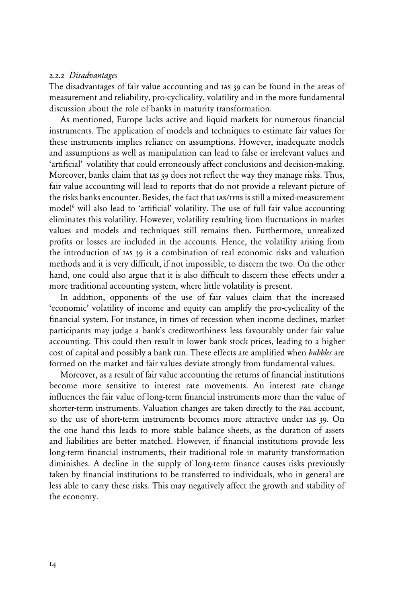#### 2.2.2 *Disadvantages*

The disadvantages of fair value accounting and ias 39 can be found in the areas of measurement and reliability, pro-cyclicality, volatility and in the more fundamental discussion about the role of banks in maturity transformation.

 As mentioned, Europe lacks active and liquid markets for numerous financial instruments. The application of models and techniques to estimate fair values for these instruments implies reliance on assumptions. However, inadequate models and assumptions as well as manipulation can lead to false or irrelevant values and 'artificial' volatility that could erroneously affect conclusions and decision-making. Moreover, banks claim that ias 39 does not reflect the way they manage risks. Thus, fair value accounting will lead to reports that do not provide a relevant picture of the risks banks encounter. Besides, the fact that ias/ifrs is still a mixed-measurement model<sup>6</sup> will also lead to 'artificial' volatility. The use of full fair value accounting eliminates this volatility. However, volatility resulting from fluctuations in market values and models and techniques still remains then. Furthermore, unrealized profits or losses are included in the accounts. Hence, the volatility arising from the introduction of ias 39 is a combination of real economic risks and valuation methods and it is very difficult, if not impossible, to discern the two. On the other hand, one could also argue that it is also difficult to discern these effects under a more traditional accounting system, where little volatility is present.

 In addition, opponents of the use of fair values claim that the increased 'economic' volatility of income and equity can amplify the pro-cyclicality of the financial system. For instance, in times of recession when income declines, market participants may judge a bank's creditworthiness less favourably under fair value accounting. This could then result in lower bank stock prices, leading to a higher cost of capital and possibly a bank run. These effects are amplified when *bubbles* are formed on the market and fair values deviate strongly from fundamental values.

 Moreover, as a result of fair value accounting the returns of financial institutions become more sensitive to interest rate movements. An interest rate change influences the fair value of long-term financial instruments more than the value of shorter-term instruments. Valuation changes are taken directly to the p&L account, so the use of short-term instruments becomes more attractive under ias 39. On the one hand this leads to more stable balance sheets, as the duration of assets and liabilities are better matched. However, if financial institutions provide less long-term financial instruments, their traditional role in maturity transformation diminishes. A decline in the supply of long-term finance causes risks previously taken by financial institutions to be transferred to individuals, who in general are less able to carry these risks. This may negatively affect the growth and stability of the economy.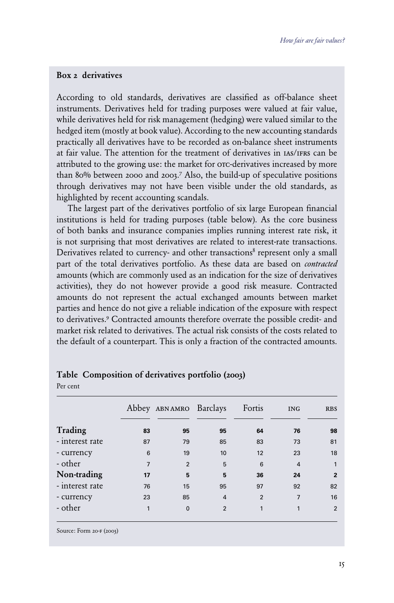### Box 2 derivatives

According to old standards, derivatives are classified as off-balance sheet instruments. Derivatives held for trading purposes were valued at fair value, while derivatives held for risk management (hedging) were valued similar to the hedged item (mostly at book value). According to the new accounting standards practically all derivatives have to be recorded as on-balance sheet instruments at fair value. The attention for the treatment of derivatives in ias/ifrs can be attributed to the growing use: the market for orc-derivatives increased by more than 80% between 2000 and 2003.<sup>7</sup> Also, the build-up of speculative positions through derivatives may not have been visible under the old standards, as highlighted by recent accounting scandals.

 The largest part of the derivatives portfolio of six large European financial institutions is held for trading purposes (table below). As the core business of both banks and insurance companies implies running interest rate risk, it is not surprising that most derivatives are related to interest-rate transactions. Derivatives related to currency- and other transactions<sup>8</sup> represent only a small part of the total derivatives portfolio. As these data are based on *contracted*  amounts (which are commonly used as an indication for the size of derivatives activities), they do not however provide a good risk measure. Contracted amounts do not represent the actual exchanged amounts between market parties and hence do not give a reliable indication of the exposure with respect to derivatives.<sup>9</sup> Contracted amounts therefore overrate the possible credit- and market risk related to derivatives. The actual risk consists of the costs related to the default of a counterpart. This is only a fraction of the contracted amounts.

|                 |                | Abbey ABNAMRO Barclays |                | Fortis         | <b>ING</b>     | <b>RBS</b>     |
|-----------------|----------------|------------------------|----------------|----------------|----------------|----------------|
| Trading         | 83             | 95                     | 95             | 64             | 76             | 98             |
| - interest rate | 87             | 79                     | 85             | 83             | 73             | 81             |
| - currency      | 6              | 19                     | 10             | 12             | 23             | 18             |
| - other         | $\overline{7}$ | $\overline{2}$         | 5              | 6              | $\overline{4}$ | $\mathbf{1}$   |
| Non-trading     | 17             | 5                      | 5              | 36             | 24             | $\overline{2}$ |
| - interest rate | 76             | 15                     | 95             | 97             | 92             | 82             |
| - currency      | 23             | 85                     | $\overline{4}$ | $\overline{2}$ | $\overline{7}$ | 16             |
| - other         | 1              | $\Omega$               | $\overline{2}$ | 1              | 1              | 2              |

Table Composition of derivatives portfolio (2003)

Source: Form 20-F (2003)

Per cent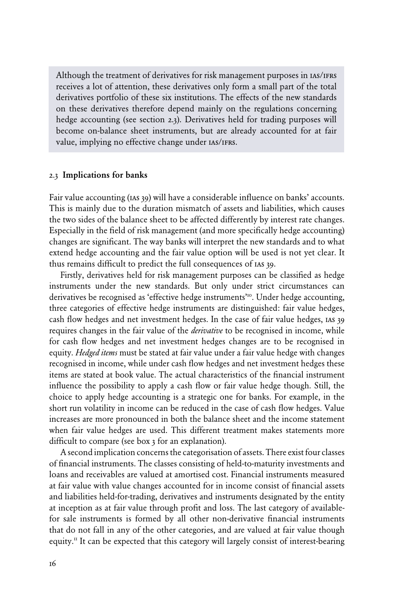Although the treatment of derivatives for risk management purposes in IAS/IFRS receives a lot of attention, these derivatives only form a small part of the total derivatives portfolio of these six institutions. The effects of the new standards on these derivatives therefore depend mainly on the regulations concerning hedge accounting (see section 2.3). Derivatives held for trading purposes will become on-balance sheet instruments, but are already accounted for at fair value, implying no effective change under  $\text{IAS/IFRS}.$ 

#### 2.3 Implications for banks

Fair value accounting (IAS 39) will have a considerable influence on banks' accounts. This is mainly due to the duration mismatch of assets and liabilities, which causes the two sides of the balance sheet to be affected differently by interest rate changes. Especially in the field of risk management (and more specifically hedge accounting) changes are significant. The way banks will interpret the new standards and to what extend hedge accounting and the fair value option will be used is not yet clear. It thus remains difficult to predict the full consequences of ias 39.

 Firstly, derivatives held for risk management purposes can be classified as hedge instruments under the new standards. But only under strict circumstances can derivatives be recognised as 'effective hedge instruments'10. Under hedge accounting, three categories of effective hedge instruments are distinguished: fair value hedges, cash flow hedges and net investment hedges. In the case of fair value hedges, ias 39 requires changes in the fair value of the *derivative* to be recognised in income, while for cash flow hedges and net investment hedges changes are to be recognised in equity. *Hedged items* must be stated at fair value under a fair value hedge with changes recognised in income, while under cash flow hedges and net investment hedges these items are stated at book value. The actual characteristics of the financial instrument influence the possibility to apply a cash flow or fair value hedge though. Still, the choice to apply hedge accounting is a strategic one for banks. For example, in the short run volatility in income can be reduced in the case of cash flow hedges. Value increases are more pronounced in both the balance sheet and the income statement when fair value hedges are used. This different treatment makes statements more difficult to compare (see box 3 for an explanation).

 A second implication concerns the categorisation of assets. There exist four classes of financial instruments. The classes consisting of held-to-maturity investments and loans and receivables are valued at amortised cost. Financial instruments measured at fair value with value changes accounted for in income consist of financial assets and liabilities held-for-trading, derivatives and instruments designated by the entity at inception as at fair value through profit and loss. The last category of availablefor sale instruments is formed by all other non-derivative financial instruments that do not fall in any of the other categories, and are valued at fair value though equity.<sup>11</sup> It can be expected that this category will largely consist of interest-bearing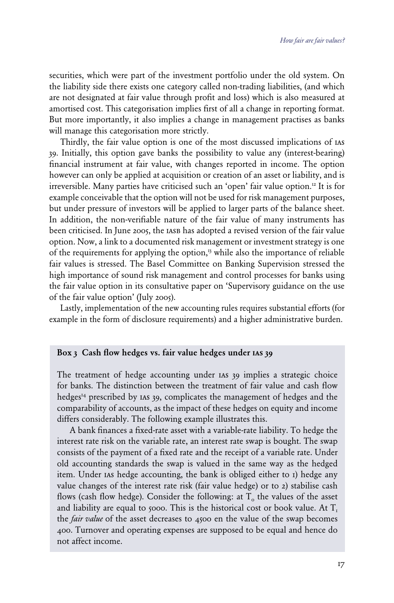securities, which were part of the investment portfolio under the old system. On the liability side there exists one category called non-trading liabilities, (and which are not designated at fair value through profit and loss) which is also measured at amortised cost. This categorisation implies first of all a change in reporting format. But more importantly, it also implies a change in management practises as banks will manage this categorisation more strictly.

 Thirdly, the fair value option is one of the most discussed implications of ias 39. Initially, this option gave banks the possibility to value any (interest-bearing) financial instrument at fair value, with changes reported in income. The option however can only be applied at acquisition or creation of an asset or liability, and is irreversible. Many parties have criticised such an 'open' fair value option.<sup>12</sup> It is for example conceivable that the option will not be used for risk management purposes, but under pressure of investors will be applied to larger parts of the balance sheet. In addition, the non-verifiable nature of the fair value of many instruments has been criticised. In June 2005, the IASB has adopted a revised version of the fair value option. Now, a link to a documented risk management or investment strategy is one of the requirements for applying the option,<sup>13</sup> while also the importance of reliable fair values is stressed. The Basel Committee on Banking Supervision stressed the high importance of sound risk management and control processes for banks using the fair value option in its consultative paper on 'Supervisory guidance on the use of the fair value option' (July 2005).

 Lastly, implementation of the new accounting rules requires substantial efforts (for example in the form of disclosure requirements) and a higher administrative burden.

### Box 3 Cash flow hedges vs. fair value hedges under ias 39

The treatment of hedge accounting under IAS 39 implies a strategic choice for banks. The distinction between the treatment of fair value and cash flow hedges<sup>14</sup> prescribed by 1As 39, complicates the management of hedges and the comparability of accounts, as the impact of these hedges on equity and income differs considerably. The following example illustrates this.

 A bank finances a fixed-rate asset with a variable-rate liability. To hedge the interest rate risk on the variable rate, an interest rate swap is bought. The swap consists of the payment of a fixed rate and the receipt of a variable rate. Under old accounting standards the swap is valued in the same way as the hedged item. Under ias hedge accounting, the bank is obliged either to 1) hedge any value changes of the interest rate risk (fair value hedge) or to 2) stabilise cash flows (cash flow hedge). Consider the following: at  $T<sub>o</sub>$  the values of the asset and liability are equal to 5000. This is the historical cost or book value. At  $T_{1}$ the *fair value* of the asset decreases to 4500 en the value of the swap becomes 400. Turnover and operating expenses are supposed to be equal and hence do not affect income.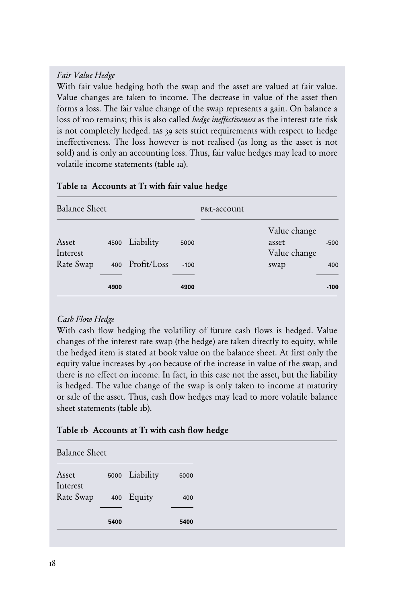# *Fair Value Hedge*

With fair value hedging both the swap and the asset are valued at fair value. Value changes are taken to income. The decrease in value of the asset then forms a loss. The fair value change of the swap represents a gain. On balance a loss of 100 remains; this is also called *hedge ineffectiveness* as the interest rate risk is not completely hedged. ias 39 sets strict requirements with respect to hedge ineffectiveness. The loss however is not realised (as long as the asset is not sold) and is only an accounting loss. Thus, fair value hedges may lead to more volatile income statements (table 1a).

| <b>Balance Sheet</b>           |      |                              |                | P&L-account |                                               |               |
|--------------------------------|------|------------------------------|----------------|-------------|-----------------------------------------------|---------------|
| Asset<br>Interest<br>Rate Swap | 4500 | Liability<br>400 Profit/Loss | 5000<br>$-100$ |             | Value change<br>asset<br>Value change<br>swap | $-500$<br>400 |
|                                | 4900 |                              | 4900           |             |                                               | $-100$        |

# Table 1a Accounts at T<sub>I</sub> with fair value hedge

# *Cash Flow Hedge*

With cash flow hedging the volatility of future cash flows is hedged. Value changes of the interest rate swap (the hedge) are taken directly to equity, while the hedged item is stated at book value on the balance sheet. At first only the equity value increases by 400 because of the increase in value of the swap, and there is no effect on income. In fact, in this case not the asset, but the liability is hedged. The value change of the swap is only taken to income at maturity or sale of the asset. Thus, cash flow hedges may lead to more volatile balance sheet statements (table 1b).

# Table 1b Accounts at T1 with cash flow hedge

Balance Sheet

|                   | 5400 |                | 5400 |
|-------------------|------|----------------|------|
| Rate Swap         |      | 400 Equity     | 400  |
| Asset<br>Interest |      | 5000 Liability | 5000 |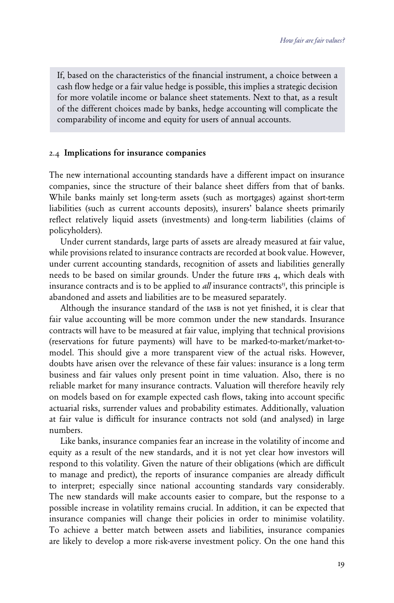If, based on the characteristics of the financial instrument, a choice between a cash flow hedge or a fair value hedge is possible, this implies a strategic decision for more volatile income or balance sheet statements. Next to that, as a result of the different choices made by banks, hedge accounting will complicate the comparability of income and equity for users of annual accounts.

#### 2.4 Implications for insurance companies

The new international accounting standards have a different impact on insurance companies, since the structure of their balance sheet differs from that of banks. While banks mainly set long-term assets (such as mortgages) against short-term liabilities (such as current accounts deposits), insurers' balance sheets primarily reflect relatively liquid assets (investments) and long-term liabilities (claims of policyholders).

 Under current standards, large parts of assets are already measured at fair value, while provisions related to insurance contracts are recorded at book value. However, under current accounting standards, recognition of assets and liabilities generally needs to be based on similar grounds. Under the future ifrs 4, which deals with insurance contracts and is to be applied to *all* insurance contracts<sup>15</sup>, this principle is abandoned and assets and liabilities are to be measured separately.

Although the insurance standard of the IASB is not yet finished, it is clear that fair value accounting will be more common under the new standards. Insurance contracts will have to be measured at fair value, implying that technical provisions (reservations for future payments) will have to be marked-to-market/market-tomodel. This should give a more transparent view of the actual risks. However, doubts have arisen over the relevance of these fair values: insurance is a long term business and fair values only present point in time valuation. Also, there is no reliable market for many insurance contracts. Valuation will therefore heavily rely on models based on for example expected cash flows, taking into account specific actuarial risks, surrender values and probability estimates. Additionally, valuation at fair value is difficult for insurance contracts not sold (and analysed) in large numbers.

 Like banks, insurance companies fear an increase in the volatility of income and equity as a result of the new standards, and it is not yet clear how investors will respond to this volatility. Given the nature of their obligations (which are difficult to manage and predict), the reports of insurance companies are already difficult to interpret; especially since national accounting standards vary considerably. The new standards will make accounts easier to compare, but the response to a possible increase in volatility remains crucial. In addition, it can be expected that insurance companies will change their policies in order to minimise volatility. To achieve a better match between assets and liabilities, insurance companies are likely to develop a more risk-averse investment policy. On the one hand this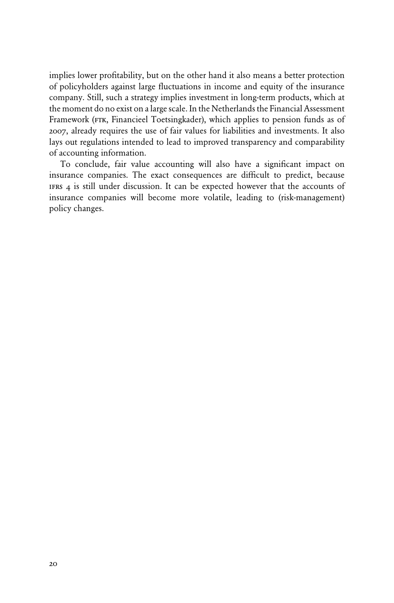implies lower profitability, but on the other hand it also means a better protection of policyholders against large fluctuations in income and equity of the insurance company. Still, such a strategy implies investment in long-term products, which at the moment do no exist on a large scale. In the Netherlands the Financial Assessment Framework (FTK, Financieel Toetsingkader), which applies to pension funds as of 2007, already requires the use of fair values for liabilities and investments. It also lays out regulations intended to lead to improved transparency and comparability of accounting information.

 To conclude, fair value accounting will also have a significant impact on insurance companies. The exact consequences are difficult to predict, because ifrs 4 is still under discussion. It can be expected however that the accounts of insurance companies will become more volatile, leading to (risk-management) policy changes.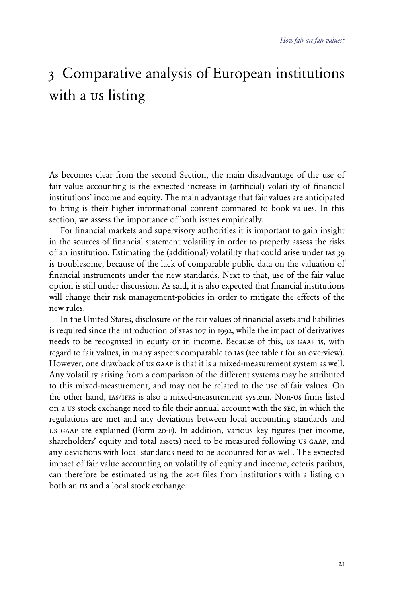# 3 Comparative analysis of European institutions with a us listing

As becomes clear from the second Section, the main disadvantage of the use of fair value accounting is the expected increase in (artificial) volatility of financial institutions' income and equity. The main advantage that fair values are anticipated to bring is their higher informational content compared to book values. In this section, we assess the importance of both issues empirically.

 For financial markets and supervisory authorities it is important to gain insight in the sources of financial statement volatility in order to properly assess the risks of an institution. Estimating the (additional) volatility that could arise under ias 39 is troublesome, because of the lack of comparable public data on the valuation of financial instruments under the new standards. Next to that, use of the fair value option is still under discussion. As said, it is also expected that financial institutions will change their risk management-policies in order to mitigate the effects of the new rules.

 In the United States, disclosure of the fair values of financial assets and liabilities is required since the introduction of sfas 107 in 1992, while the impact of derivatives needs to be recognised in equity or in income. Because of this, us gaap is, with regard to fair values, in many aspects comparable to ias (see table 1 for an overview). However, one drawback of us gaap is that it is a mixed-measurement system as well. Any volatility arising from a comparison of the different systems may be attributed to this mixed-measurement, and may not be related to the use of fair values. On the other hand, ias/ifrs is also a mixed-measurement system. Non-us firms listed on a us stock exchange need to file their annual account with the sec, in which the regulations are met and any deviations between local accounting standards and us gaap are explained (Form 20-f). In addition, various key figures (net income, shareholders' equity and total assets) need to be measured following us gaap, and any deviations with local standards need to be accounted for as well. The expected impact of fair value accounting on volatility of equity and income, ceteris paribus, can therefore be estimated using the 20-f files from institutions with a listing on both an us and a local stock exchange.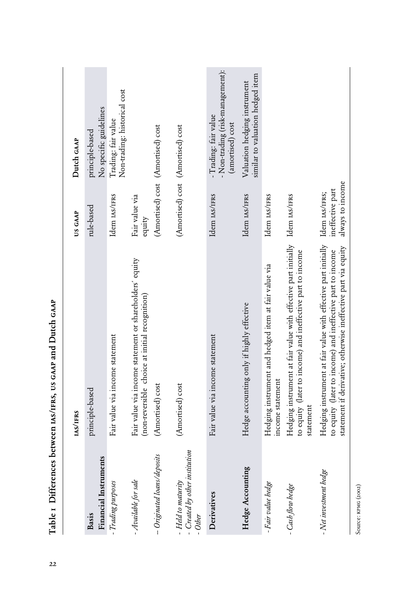|                                                           | <b>IAS/IFRS</b>                                                                                                                                                                                | US GAAP                                                | Dutch GAAP                                                                  |
|-----------------------------------------------------------|------------------------------------------------------------------------------------------------------------------------------------------------------------------------------------------------|--------------------------------------------------------|-----------------------------------------------------------------------------|
|                                                           |                                                                                                                                                                                                |                                                        |                                                                             |
| Financial Instruments<br>Basis                            | principle-based                                                                                                                                                                                | rule-based                                             | principle-based                                                             |
|                                                           |                                                                                                                                                                                                |                                                        | No specific guidelines                                                      |
| - Trading purposes                                        | Fair value via income statement                                                                                                                                                                | Idem <sub>IAS/IFRS</sub>                               | Non-trading: historical cost<br>Trading: fair value                         |
| - Available for sale                                      | Fair value via income statement or shareholders' equity<br>(non-reversible choice at initial recognition)                                                                                      | Fair value via<br>equity                               |                                                                             |
| - Originated loans/deposits                               | (Amortised) cost                                                                                                                                                                               | (Amortised) cost (Amortised) cost                      |                                                                             |
| Created by other institution<br>Held to maturity<br>Other | (Amortised) cost                                                                                                                                                                               | (Amortised) cost (Amortised) cost                      |                                                                             |
| Derivatives                                               | Fair value via income statement                                                                                                                                                                | Idem IAS/IFRS                                          | - Non-trading (risk-management):<br>Trading: fair value<br>(amortised) cost |
| Hedge Accounting                                          | Hedge accounting only if highly effective                                                                                                                                                      | Idem IAS/IFRS                                          | similar to valuation hedged item<br>Valuation hedging instrument            |
| - Fair value hedge                                        | Hedging instrument and hedged item at fair value via<br>income statement                                                                                                                       | Idem IAS/IFRS                                          |                                                                             |
| - Cash flow hedge                                         | Hedging instrument at fair value with effective part initially Idem IAS/IFRS<br>to equity (later to income) and ineffective part to income<br>statement                                        |                                                        |                                                                             |
| - Net investment hedge                                    | Hedging instrument at fair value with effective part initially<br>statement if derivative; otherwise ineffective part via equity<br>to equity (later to income) and ineffective part to income | always to income<br>ineffective part<br>Idem IAS/IFRS; |                                                                             |

Table 1 Differences between IAS/IFRS, US GAAP and Dutch GAAP  $\mu$  Table 1 Differences between  $\mu$ s/IFRS, us gaap and Dutch gaap

Source: KPMG (2002) Source: KPMG (2002)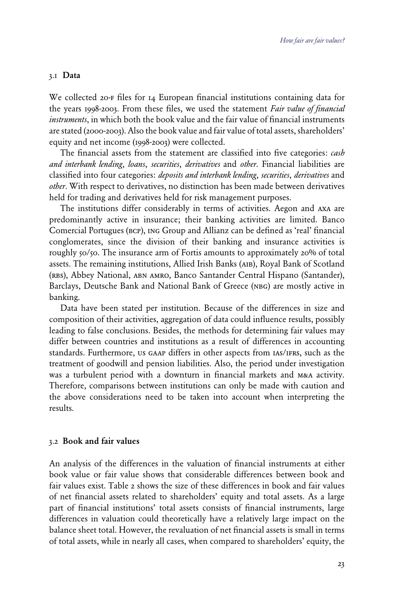#### 3.1 Data

We collected 20-F files for 14 European financial institutions containing data for the years 1998-2003. From these files, we used the statement *Fair value of financial instruments*, in which both the book value and the fair value of financial instruments are stated (2000-2003). Also the book value and fair value of total assets, shareholders' equity and net income (1998-2003) were collected.

 The financial assets from the statement are classified into five categories: *cash and interbank lending*, *loans*, *securities*, *derivatives* and *other*. Financial liabilities are classified into four categories: *deposits and interbank lending*, *securities*, *derivatives* and *other*. With respect to derivatives, no distinction has been made between derivatives held for trading and derivatives held for risk management purposes.

 The institutions differ considerably in terms of activities. Aegon and axa are predominantly active in insurance; their banking activities are limited. Banco Comercial Portugues (bcp), ing Group and Allianz can be defined as 'real' financial conglomerates, since the division of their banking and insurance activities is roughly 50/50. The insurance arm of Fortis amounts to approximately 20% of total assets. The remaining institutions, Allied Irish Banks (aib), Royal Bank of Scotland (rbs), Abbey National, abn amro, Banco Santander Central Hispano (Santander), Barclays, Deutsche Bank and National Bank of Greece (NBG) are mostly active in banking.

 Data have been stated per institution. Because of the differences in size and composition of their activities, aggregation of data could influence results, possibly leading to false conclusions. Besides, the methods for determining fair values may differ between countries and institutions as a result of differences in accounting standards. Furthermore, us gaap differs in other aspects from ias/ifrs, such as the treatment of goodwill and pension liabilities. Also, the period under investigation was a turbulent period with a downturn in financial markets and mea activity. Therefore, comparisons between institutions can only be made with caution and the above considerations need to be taken into account when interpreting the results.

### 3.2 Book and fair values

An analysis of the differences in the valuation of financial instruments at either book value or fair value shows that considerable differences between book and fair values exist. Table 2 shows the size of these differences in book and fair values of net financial assets related to shareholders' equity and total assets. As a large part of financial institutions' total assets consists of financial instruments, large differences in valuation could theoretically have a relatively large impact on the balance sheet total. However, the revaluation of net financial assets is small in terms of total assets, while in nearly all cases, when compared to shareholders' equity, the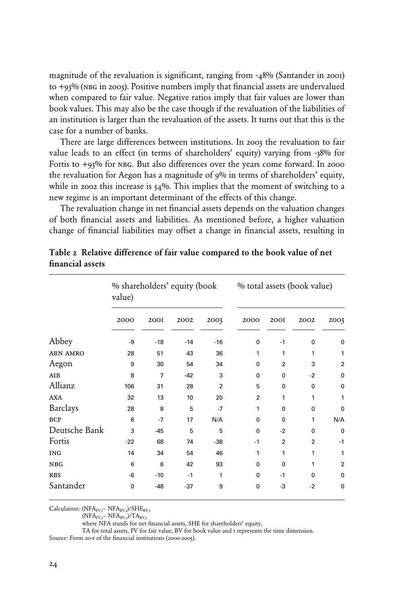magnitude of the revaluation is significant, ranging from -48% (Santander in 2001) to  $+93\%$  (NBG in 2003). Positive numbers imply that financial assets are undervalued when compared to fair value. Negative ratios imply that fair values are lower than book values. This may also be the case though if the revaluation of the liabilities of an institution is larger than the revaluation of the assets. It turns out that this is the case for a number of banks.

 There are large differences between institutions. In 2003 the revaluation to fair value leads to an effect (in terms of shareholders' equity) varying from -38% for Fortis to  $+93\%$  for NBG. But also differences over the years come forward. In 2000 the revaluation for Aegon has a magnitude of 9% in terms of shareholders' equity, while in 2002 this increase is  $54\%$ . This implies that the moment of switching to a new regime is an important determinant of the effects of this change.

 The revaluation change in net financial assets depends on the valuation changes of both financial assets and liabilities. As mentioned before, a higher valuation change of financial liabilities may offset a change in financial assets, resulting in

|                 | % shareholders' equity (book<br>value) |                |       |                |              |                | % total assets (book value) |                |
|-----------------|----------------------------------------|----------------|-------|----------------|--------------|----------------|-----------------------------|----------------|
|                 | 2000                                   | <b>200I</b>    | 2002  | 2003           | 2000         | <b>200I</b>    | 2002                        | 2003           |
| Abbey           | -9                                     | $-18$          | $-14$ | $-16$          | 0            | $-1$           | 0                           | 0              |
| <b>ABN AMRO</b> | 28                                     | 51             | 43    | 36             | 1            | 1              | 1                           | 1              |
| Aegon           | 9                                      | 30             | 54    | 34             | $\Omega$     | $\overline{2}$ | 3                           | $\overline{2}$ |
| AIB             | 8                                      | $\overline{7}$ | $-42$ | 3              | $\mathbf 0$  | $\mathbf 0$    | $-2$                        | 0              |
| Allianz         | 106                                    | 31             | 28    | $\overline{2}$ | 5            | 0              | 0                           | 0              |
| <b>AXA</b>      | 32                                     | 13             | 10    | 20             | 2            | 1              | 1                           | 1              |
| <b>Barclays</b> | 28                                     | 8              | 5     | $-7$           | 1            | $\mathbf{0}$   | 0                           | $\mathbf 0$    |
| <b>BCP</b>      | 6                                      | $-7$           | 17    | N/A            | $\mathbf{0}$ | $\mathbf{0}$   | 1                           | N/A            |
| Deutsche Bank   | 3                                      | $-45$          | 5     | 5              | $\Omega$     | $-2$           | $\mathbf{0}$                | 0              |
| Fortis          | $-22$                                  | 68             | 74    | $-38$          | $-1$         | $\overline{2}$ | $\overline{2}$              | $-1$           |
| <b>ING</b>      | 14                                     | 34             | 54    | 46             | 1            | 1              | 1                           | 1              |
| <b>NBG</b>      | 6                                      | 6              | 42    | 93             | $\Omega$     | $\mathbf 0$    | 1                           | $\overline{2}$ |
| <b>RBS</b>      | -6                                     | $-10$          | $-1$  | 1              | $\Omega$     | $-1$           | $\Omega$                    | $\mathbf 0$    |
| Santander       | $\mathbf 0$                            | $-48$          | $-37$ | 9              | $\mathbf 0$  | -3             | $-2$                        | $\mathbf 0$    |

Table 2 Relative difference of fair value compared to the book value of net financial assets

Calculation: ( $NFA_{FV,t}$ –  $NFA_{BV,t}$ )/ $SHE_{BV,t}$ 

 $(NFA_{FV,t}-NFA_{BV,t})/TA_{BV,t}$ 

where NFA stands for net financial assets, SHE for shareholders' equity,

TA for total assets, FV for fair value, BV for book value and t represents the time dimension.

Source: Form 20-F of the financial institutions (2000-2003).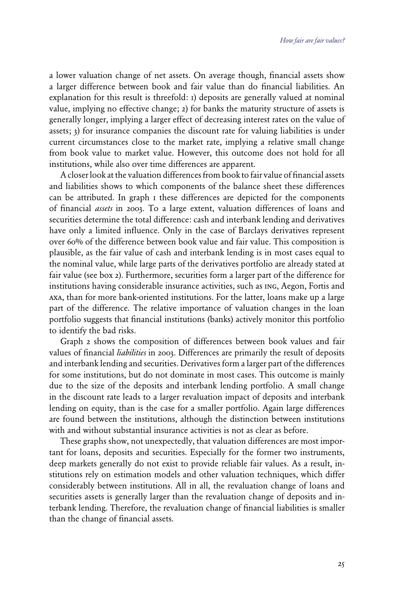a lower valuation change of net assets. On average though, financial assets show a larger difference between book and fair value than do financial liabilities. An explanation for this result is threefold: 1) deposits are generally valued at nominal value, implying no effective change; 2) for banks the maturity structure of assets is generally longer, implying a larger effect of decreasing interest rates on the value of assets; 3) for insurance companies the discount rate for valuing liabilities is under current circumstances close to the market rate, implying a relative small change from book value to market value. However, this outcome does not hold for all institutions, while also over time differences are apparent.

 A closer look at the valuation differences from book to fair value of financial assets and liabilities shows to which components of the balance sheet these differences can be attributed. In graph 1 these differences are depicted for the components of financial *assets* in 2003. To a large extent, valuation differences of loans and securities determine the total difference: cash and interbank lending and derivatives have only a limited influence. Only in the case of Barclays derivatives represent over 60% of the difference between book value and fair value. This composition is plausible, as the fair value of cash and interbank lending is in most cases equal to the nominal value, while large parts of the derivatives portfolio are already stated at fair value (see box 2). Furthermore, securities form a larger part of the difference for institutions having considerable insurance activities, such as ing, Aegon, Fortis and axa, than for more bank-oriented institutions. For the latter, loans make up a large part of the difference. The relative importance of valuation changes in the loan portfolio suggests that financial institutions (banks) actively monitor this portfolio to identify the bad risks.

 Graph 2 shows the composition of differences between book values and fair values of financial *liabilities* in 2003. Differences are primarily the result of deposits and interbank lending and securities. Derivatives form a larger part of the differences for some institutions, but do not dominate in most cases. This outcome is mainly due to the size of the deposits and interbank lending portfolio. A small change in the discount rate leads to a larger revaluation impact of deposits and interbank lending on equity, than is the case for a smaller portfolio. Again large differences are found between the institutions, although the distinction between institutions with and without substantial insurance activities is not as clear as before.

 These graphs show, not unexpectedly, that valuation differences are most important for loans, deposits and securities. Especially for the former two instruments, deep markets generally do not exist to provide reliable fair values. As a result, institutions rely on estimation models and other valuation techniques, which differ considerably between institutions. All in all, the revaluation change of loans and securities assets is generally larger than the revaluation change of deposits and interbank lending. Therefore, the revaluation change of financial liabilities is smaller than the change of financial assets.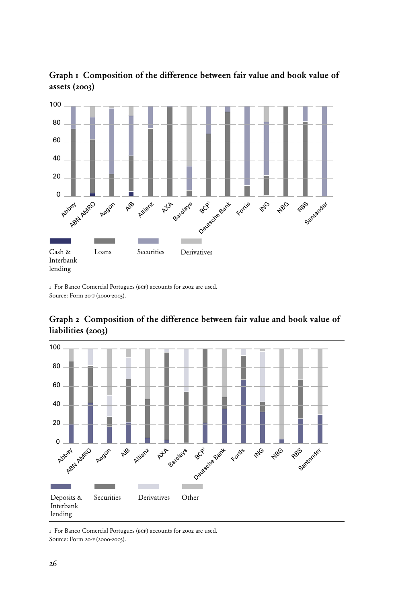

Graph 1 Composition of the difference between fair value and book value of assets (2003)

1 For Banco Comercial Portugues (bcp) accounts for 2002 are used. Source: Form 20-f (2000-2003).



## Graph 2 Composition of the difference between fair value and book value of liabilities (2003)

1 For Banco Comercial Portugues (bcp) accounts for 2002 are used. Source: Form 20-f (2000-2003).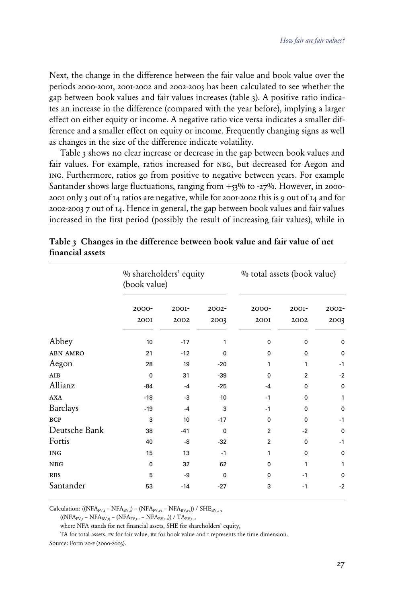Next, the change in the difference between the fair value and book value over the periods 2000-2001, 2001-2002 and 2002-2003 has been calculated to see whether the gap between book values and fair values increases (table 3). A positive ratio indicates an increase in the difference (compared with the year before), implying a larger effect on either equity or income. A negative ratio vice versa indicates a smaller difference and a smaller effect on equity or income. Frequently changing signs as well as changes in the size of the difference indicate volatility.

 Table 3 shows no clear increase or decrease in the gap between book values and fair values. For example, ratios increased for NBG, but decreased for Aegon and ing. Furthermore, ratios go from positive to negative between years. For example Santander shows large fluctuations, ranging from  $+53\%$  to -27%. However, in 2000-2001 only 3 out of 14 ratios are negative, while for 2001-2002 this is 9 out of 14 and for 2002-2003 7 out of 14. Hence in general, the gap between book values and fair values increased in the first period (possibly the result of increasing fair values), while in

|                 | % shareholders' equity<br>(book value) |          |             | % total assets (book value) |                |             |
|-----------------|----------------------------------------|----------|-------------|-----------------------------|----------------|-------------|
|                 | $2000 -$                               | $200I -$ | $2002 -$    | $2000 -$                    | $200I -$       | $2002 -$    |
|                 | <b>200I</b>                            | 2002     | 2003        | <b>200I</b>                 | 2002           | 2003        |
| Abbey           | 10                                     | $-17$    | 1           | $\mathbf 0$                 | $\mathbf 0$    | 0           |
| <b>ABN AMRO</b> | 21                                     | $-12$    | $\mathbf 0$ | $\Omega$                    | $\mathbf{0}$   | 0           |
| Aegon           | 28                                     | 19       | $-20$       | 1                           | 1              | $-1$        |
| <b>AIB</b>      | $\mathbf 0$                            | 31       | $-39$       | $\Omega$                    | $\overline{2}$ | $-2$        |
| Allianz         | $-84$                                  | $-4$     | $-25$       | $-4$                        | 0              | 0           |
| <b>AXA</b>      | $-18$                                  | -3       | 10          | $-1$                        | $\Omega$       | 1           |
| <b>Barclays</b> | $-19$                                  | $-4$     | 3           | $-1$                        | 0              | $\mathbf 0$ |
| <b>BCP</b>      | 3                                      | 10       | $-17$       | $\mathbf 0$                 | $\Omega$       | $-1$        |
| Deutsche Bank   | 38                                     | $-41$    | $\mathbf 0$ | $\overline{2}$              | $-2$           | 0           |
| Fortis          | 40                                     | -8       | $-32$       | $\overline{2}$              | $\Omega$       | $-1$        |
| <b>ING</b>      | 15                                     | 13       | $-1$        | 1                           | $\Omega$       | 0           |
| NBG             | $\mathbf 0$                            | 32       | 62          | 0                           | 1              | 1           |
| <b>RBS</b>      | 5                                      | -9       | $\mathbf 0$ | $\Omega$                    | $-1$           | $\mathbf 0$ |
| Santander       | 53                                     | $-14$    | $-27$       | 3                           | $-1$           | $-2$        |

|                  |  | Table 3 Changes in the difference between book value and fair value of net |  |  |  |  |
|------------------|--|----------------------------------------------------------------------------|--|--|--|--|
| financial assets |  |                                                                            |  |  |  |  |

Calculation: (( $NFA_{FV,t}$  –  $NFA_{BV,t}$ ) – ( $NFA_{FV,t-1}$  –  $NFA_{BV,t-1}$ )) /  $SHE_{BV,t-1}$ 

 $((NFA_{FV,t} - NFA_{BV,t}) - (NFA_{FV,t-1} - NFA_{BV,t-1})/TA_{BV,t-1})$ 

where NFA stands for net financial assets, SHE for shareholders' equity,

TA for total assets, FV for fair value, BV for book value and t represents the time dimension.

Source: Form 20-f (2000-2003).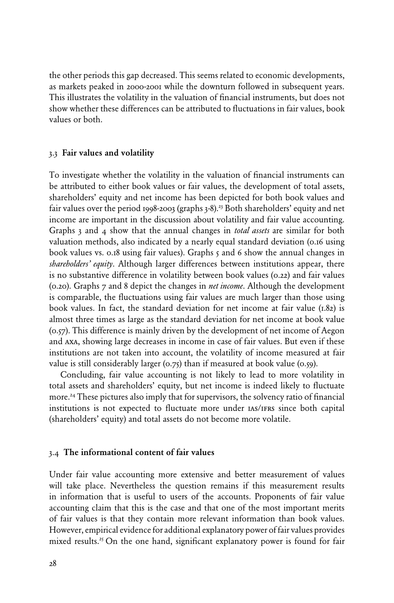the other periods this gap decreased. This seems related to economic developments, as markets peaked in 2000-2001 while the downturn followed in subsequent years. This illustrates the volatility in the valuation of financial instruments, but does not show whether these differences can be attributed to fluctuations in fair values, book values or both.

### 3.3 Fair values and volatility

To investigate whether the volatility in the valuation of financial instruments can be attributed to either book values or fair values, the development of total assets, shareholders' equity and net income has been depicted for both book values and fair values over the period 1998-2003 (graphs  $3-8$ ).<sup>23</sup> Both shareholders' equity and net income are important in the discussion about volatility and fair value accounting. Graphs 3 and 4 show that the annual changes in *total assets* are similar for both valuation methods, also indicated by a nearly equal standard deviation (0.16 using book values vs. 0.18 using fair values). Graphs 5 and 6 show the annual changes in *shareholders' equity*. Although larger differences between institutions appear, there is no substantive difference in volatility between book values (0.22) and fair values (0.20). Graphs 7 and 8 depict the changes in *net income*. Although the development is comparable, the fluctuations using fair values are much larger than those using book values. In fact, the standard deviation for net income at fair value (1.82) is almost three times as large as the standard deviation for net income at book value (0.57). This difference is mainly driven by the development of net income of Aegon and axa, showing large decreases in income in case of fair values. But even if these institutions are not taken into account, the volatility of income measured at fair value is still considerably larger  $(0.75)$  than if measured at book value  $(0.59)$ .

 Concluding, fair value accounting is not likely to lead to more volatility in total assets and shareholders' equity, but net income is indeed likely to fluctuate more.24 These pictures also imply that for supervisors, the solvency ratio of financial institutions is not expected to fluctuate more under  $\text{as}/\text{irrs}$  since both capital (shareholders' equity) and total assets do not become more volatile.

#### 3.4 The informational content of fair values

Under fair value accounting more extensive and better measurement of values will take place. Nevertheless the question remains if this measurement results in information that is useful to users of the accounts. Proponents of fair value accounting claim that this is the case and that one of the most important merits of fair values is that they contain more relevant information than book values. However, empirical evidence for additional explanatory power of fair values provides mixed results.<sup>25</sup> On the one hand, significant explanatory power is found for fair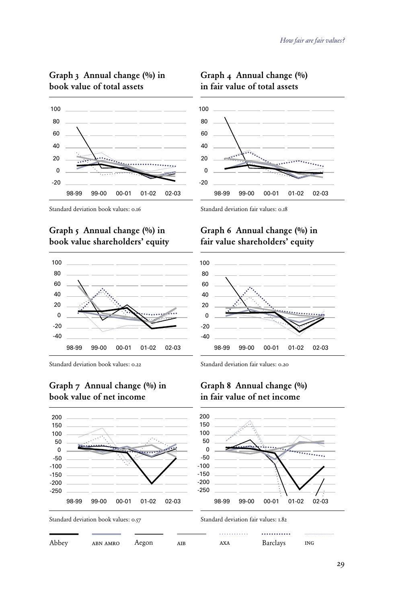## Graph 3 Annual change (%) in book value of total assets





Standard deviation book values: 0.16

## Graph 5 Annual change (%) in book value shareholders' equity



Standard deviation book values: 0.22

## Graph 7 Annual change (%) in book value of net income



Abbey abn amro Aegon aib axa Barclays ing

Standard deviation fair values: 0.18

-20  $\Omega$ 20 40

## Graph 6 Annual change (%) in fair value shareholders' equity



Standard deviation fair values: 0.20

### Graph 8 Annual change (%) in fair value of net income



# Graph 4 Annual change (%)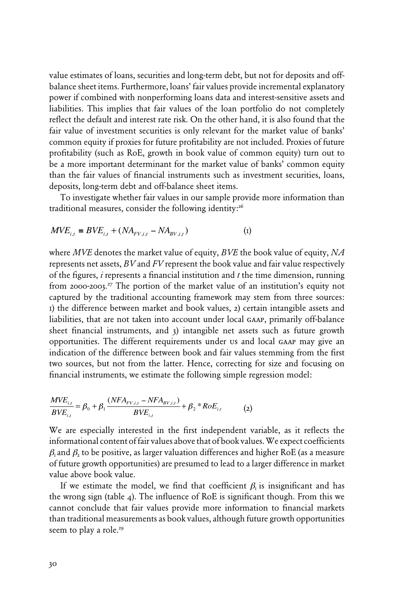value estimates of loans, securities and long-term debt, but not for deposits and offbalance sheet items. Furthermore, loans' fair values provide incremental explanatory power if combined with nonperforming loans data and interest-sensitive assets and liabilities. This implies that fair values of the loan portfolio do not completely reflect the default and interest rate risk. On the other hand, it is also found that the fair value of investment securities is only relevant for the market value of banks' common equity if proxies for future profitability are not included. Proxies of future profitability (such as RoE, growth in book value of common equity) turn out to be a more important determinant for the market value of banks' common equity than the fair values of financial instruments such as investment securities, loans, deposits, long-term debt and off-balance sheet items.

 To investigate whether fair values in our sample provide more information than traditional measures, consider the following identity:<sup>26</sup>

$$
MVE_{i,t} \equiv BVE_{i,t} + (NA_{FV,i,t} - NA_{BV,i,t})
$$
 (1)

where *MVE* denotes the market value of equity, *BVE* the book value of equity, *NA*  represents net assets, *BV* and *FV* represent the book value and fair value respectively of the figures, *i* represents a financial institution and *t* the time dimension, running from 2000-2003.<sup>27</sup> The portion of the market value of an institution's equity not captured by the traditional accounting framework may stem from three sources: 1) the difference between market and book values, 2) certain intangible assets and liabilities, that are not taken into account under local gaap, primarily off-balance sheet financial instruments, and 3) intangible net assets such as future growth opportunities. The different requirements under us and local gaap may give an indication of the difference between book and fair values stemming from the first two sources, but not from the latter. Hence, correcting for size and focusing on financial instruments, we estimate the following simple regression model:

$$
\frac{MVE_{i,t}}{BVE_{i,t}} = \beta_0 + \beta_1 \frac{(NFA_{FV,i,t} - NFA_{BV,i,t})}{BVE_{i,t}} + \beta_2 * RoE_{i,t}
$$
 (2)

We are especially interested in the first independent variable, as it reflects the informational content of fair values above that of book values. We expect coefficients  $\beta_1$  and  $\beta$ , to be positive, as larger valuation differences and higher RoE (as a measure of future growth opportunities) are presumed to lead to a larger difference in market value above book value.

If we estimate the model, we find that coefficient  $\beta_i$  is insignificant and has the wrong sign (table 4). The influence of RoE is significant though. From this we cannot conclude that fair values provide more information to financial markets than traditional measurements as book values, although future growth opportunities seem to play a role.<sup>29</sup>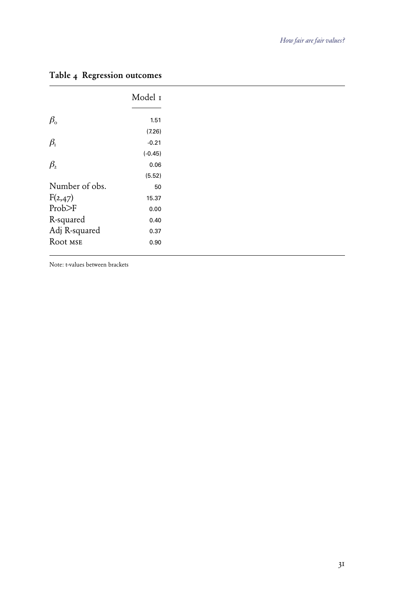|                 | Model 1   |
|-----------------|-----------|
| $\beta_{\rm o}$ | 1.51      |
|                 | (7.26)    |
| $\beta_{\rm r}$ | $-0.21$   |
|                 | $(-0.45)$ |
| $\beta_{2}$     | 0.06      |
|                 | (5.52)    |
| Number of obs.  | 50        |
| F(2,47)         | 15.37     |
| Prob>F          | 0.00      |
| R-squared       | 0.40      |
| Adj R-squared   | 0.37      |
| Root MSE        | 0.90      |

# Table 4 Regression outcomes

Note: t-values between brackets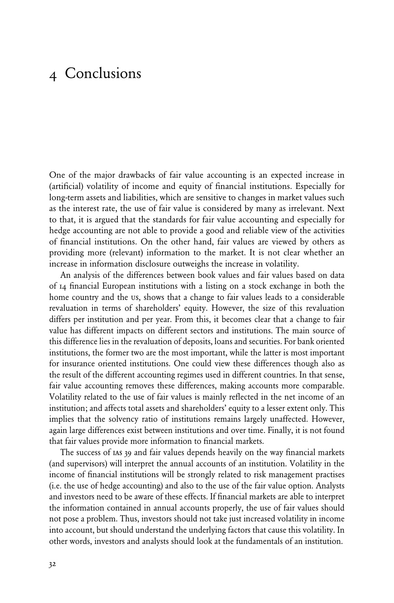# 4 Conclusions

One of the major drawbacks of fair value accounting is an expected increase in (artificial) volatility of income and equity of financial institutions. Especially for long-term assets and liabilities, which are sensitive to changes in market values such as the interest rate, the use of fair value is considered by many as irrelevant. Next to that, it is argued that the standards for fair value accounting and especially for hedge accounting are not able to provide a good and reliable view of the activities of financial institutions. On the other hand, fair values are viewed by others as providing more (relevant) information to the market. It is not clear whether an increase in information disclosure outweighs the increase in volatility.

An analysis of the differences between book values and fair values based on data of 14 financial European institutions with a listing on a stock exchange in both the home country and the us, shows that a change to fair values leads to a considerable revaluation in terms of shareholders' equity. However, the size of this revaluation differs per institution and per year. From this, it becomes clear that a change to fair value has different impacts on different sectors and institutions. The main source of this difference lies in the revaluation of deposits, loans and securities. For bank oriented institutions, the former two are the most important, while the latter is most important for insurance oriented institutions. One could view these differences though also as the result of the different accounting regimes used in different countries. In that sense, fair value accounting removes these differences, making accounts more comparable. Volatility related to the use of fair values is mainly reflected in the net income of an institution; and affects total assets and shareholders' equity to a lesser extent only. This implies that the solvency ratio of institutions remains largely unaffected. However, again large differences exist between institutions and over time. Finally, it is not found that fair values provide more information to financial markets.

 The success of ias 39 and fair values depends heavily on the way financial markets (and supervisors) will interpret the annual accounts of an institution. Volatility in the income of financial institutions will be strongly related to risk management practises (i.e. the use of hedge accounting) and also to the use of the fair value option. Analysts and investors need to be aware of these effects. If financial markets are able to interpret the information contained in annual accounts properly, the use of fair values should not pose a problem. Thus, investors should not take just increased volatility in income into account, but should understand the underlying factors that cause this volatility. In other words, investors and analysts should look at the fundamentals of an institution.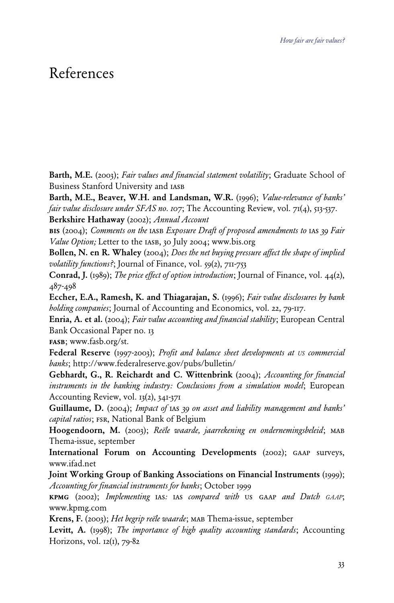# References

Barth, M.E. (2003); *Fair values and financial statement volatility*; Graduate School of Business Stanford University and iasb

Barth, M.E., Beaver, W.H. and Landsman, W.R. (1996); *Value-relevance of banks' fair value disclosure under SFAS no. 107*; The Accounting Review, vol. 71(4), 513-537.

Berkshire Hathaway (2002); *Annual Account*

bis (2004); *Comments on the* iasb *Exposure Draft of proposed amendments to* ias *39 Fair Value Option;* Letter to the iasb, 30 July 2004; www.bis.org

Bollen, N. en R. Whaley (2004); *Does the net buying pressure affect the shape of implied volatility functions?*; Journal of Finance, vol. 59(2), 711-753

Conrad, J. (1989); *The price effect of option introduction*; Journal of Finance, vol. 44(2), 487-498

Eccher, E.A., Ramesh, K. and Thiagarajan, S. (1996); *Fair value disclosures by bank holding companies*; Journal of Accounting and Economics, vol. 22, 79-117.

Enria, A. et al. (2004); *Fair value accounting and financial stability*; European Central Bank Occasional Paper no. 13

fasb; www.fasb.org/st.

Federal Reserve (1997-2003); *Profit and balance sheet developments at US commercial banks*; http://www.federalreserve.gov/pubs/bulletin/

Gebhardt, G., R. Reichardt and C. Wittenbrink (2004); *Accounting for financial instruments in the banking industry: Conclusions from a simulation model*; European Accounting Review, vol. 13(2), 341-371

Guillaume, D. (2004); *Impact of IAS 39 on asset and liability management and banks' capital ratios*; fsr, National Bank of Belgium

Hoogendoorn, M. (2003); *Reële waarde, jaarrekening en ondernemingsbeleid*; MAB Thema-issue, september

International Forum on Accounting Developments (2002); gaap surveys, www.ifad.net

Joint Working Group of Banking Associations on Financial Instruments (1999); *Accounting for financial instruments for banks*; October 1999

kpmg (2002); *Implementing* ias*:* ias *compared with* us gaap *and Dutch GAAP*; www.kpmg.com

Krens, F. (2003); *Het begrip reële waarde*; MAB Thema-issue, september

Levitt, A. (1998); *The importance of high quality accounting standards*; Accounting Horizons, vol. 12(1), 79-82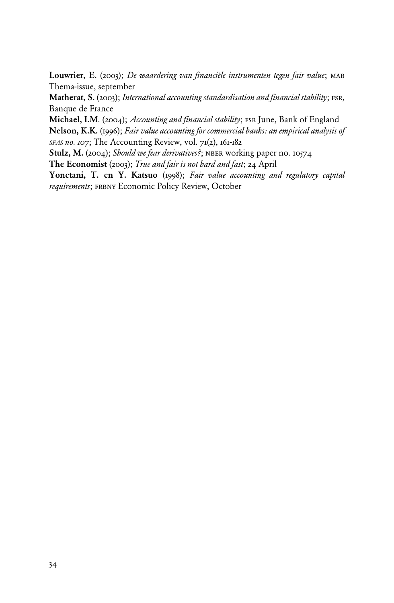Louwrier, E. (2003); *De waardering van financiële instrumenten tegen fair value*; MAB Thema-issue, september

Matherat, S. (2003); *International accounting standardisation and financial stability*; fsr, Banque de France

Michael, I.M. (2004); *Accounting and financial stability*; fsr June, Bank of England Nelson, K.K. (1996); *Fair value accounting for commercial banks: an empirical analysis of SFAS no. 107*; The Accounting Review, vol. 71(2), 161-182

Stulz, M. (2004); *Should we fear derivatives?*; nber working paper no. 10574

The Economist (2003); *True and fair is not hard and fast*; 24 April

Yonetani, T. en Y. Katsuo (1998); *Fair value accounting and regulatory capital*  requirements; FRBNY Economic Policy Review, October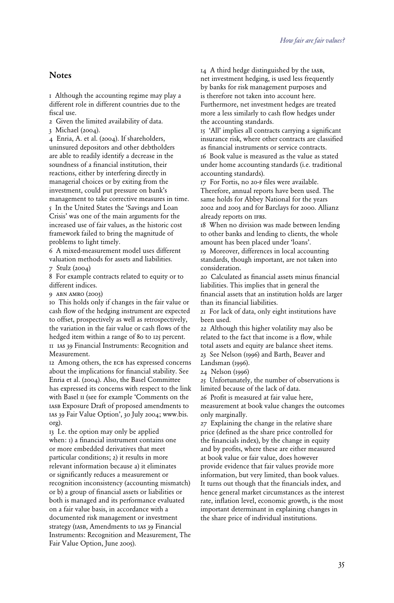### **Notes**

1 Although the accounting regime may play a different role in different countries due to the fiscal use.

2 Given the limited availability of data.

3 Michael (2004).

4 Enria, A. et al. (2004). If shareholders, uninsured depositors and other debtholders are able to readily identify a decrease in the soundness of a financial institution, their reactions, either by interfering directly in managerial choices or by exiting from the investment, could put pressure on bank's management to take corrective measures in time. 5 In the United States the 'Savings and Loan Crisis' was one of the main arguments for the increased use of fair values, as the historic cost framework failed to bring the magnitude of problems to light timely.

6 A mixed-measurement model uses different valuation methods for assets and liabilities.

7 Stulz (2004)

8 For example contracts related to equity or to different indices.

9 abn amro (2003)

10 This holds only if changes in the fair value or cash flow of the hedging instrument are expected to offset, prospectively as well as retrospectively, the variation in the fair value or cash flows of the hedged item within a range of 80 to 125 percent. 11 ias 39 Financial Instruments: Recognition and Measurement.

12 Among others, the ECB has expressed concerns about the implications for financial stability. See Enria et al. (2004). Also, the Basel Committee has expressed its concerns with respect to the link with Basel ii (see for example 'Comments on the iasb Exposure Draft of proposed amendments to ias 39 Fair Value Option', 30 July 2004; www.bis. org).

13 I.e. the option may only be applied when: 1) a financial instrument contains one or more embedded derivatives that meet particular conditions; 2) it results in more relevant information because a) it eliminates or significantly reduces a measurement or recognition inconsistency (accounting mismatch) or b) a group of financial assets or liabilities or both is managed and its performance evaluated on a fair value basis, in accordance with a documented risk management or investment strategy (IASB, Amendments to IAS 39 Financial Instruments: Recognition and Measurement, The Fair Value Option, June 2005).

14 A third hedge distinguished by the iasb, net investment hedging, is used less frequently by banks for risk management purposes and is therefore not taken into account here. Furthermore, net investment hedges are treated more a less similarly to cash flow hedges under the accounting standards.

15 'All' implies all contracts carrying a significant insurance risk, where other contracts are classified as financial instruments or service contracts. 16 Book value is measured as the value as stated under home accounting standards (i.e. traditional accounting standards).

17 For Fortis, no 20-f files were available.

Therefore, annual reports have been used. The same holds for Abbey National for the years 2002 and 2003 and for Barclays for 2000. Allianz already reports on ifrs.

18 When no division was made between lending to other banks and lending to clients, the whole amount has been placed under 'loans'.

19 Moreover, differences in local accounting standards, though important, are not taken into consideration.

20 Calculated as financial assets minus financial liabilities. This implies that in general the financial assets that an institution holds are larger than its financial liabilities.

21 For lack of data, only eight institutions have been used.

22 Although this higher volatility may also be related to the fact that income is a flow, while total assets and equity are balance sheet items.

23 See Nelson (1996) and Barth, Beaver and Landsman (1996).

24 Nelson (1996)

25 Unfortunately, the number of observations is limited because of the lack of data.

26 Profit is measured at fair value here, measurement at book value changes the outcomes only marginally.

27 Explaining the change in the relative share price (defined as the share price controlled for the financials index), by the change in equity and by profits, where these are either measured at book value or fair value, does however provide evidence that fair values provide more information, but very limited, than book values. It turns out though that the financials index, and hence general market circumstances as the interest rate, inflation level, economic growth, is the most important determinant in explaining changes in the share price of individual institutions.